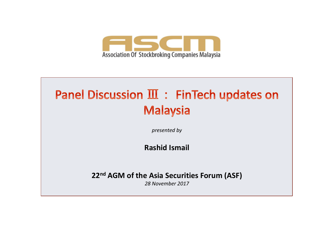

## Panel Discussion III : FinTech updates on **Malaysia**

*presented by* 

### **Rashid Ismail**

**22<sup>nd</sup> AGM of the Asia Securities Forum (ASF)** 

*28 November 2017*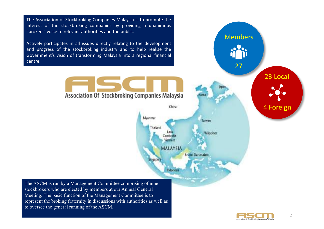The Association of Stockbroking Companies Malaysia is to promote the interest of the stockbroking companies by providing a unanimous "brokers" voice to relevant authorities and the public. Members Actively participates in all issues directly relating to the development and progress of the stockbroking industry and to help realise the Government's vision of transforming Malaysia into a regional financial centre. 27 23 Local Association Of Stockbroking Companies Malaysia 4 Foreign China Myanmar Taiwan Thailand **Philopines MALAYSIA Brunei Danusalar BOADOR** Indonesia The ASCM is run by a Management Committee comprising of nine stockbrokers who are elected by members at our Annual General Meeting. The basic function of the Management Committee is to represent the broking fraternity in discussions with authorities as well as to oversee the general running of the ASCM.

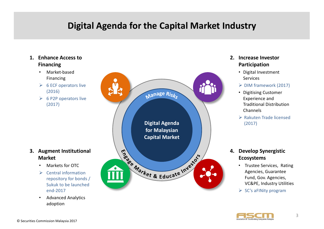### **Digital Agenda for the Capital Market Industry**

#### **1. Enhance Access to Financing** • Market-based Financing  $\triangleright$  6 ECF operators live (2016) Manage Risks  $\triangleright$  6 P2P operators live (2017) **Digital Agenda for Malaysian Capital Market** Tragge Market & Educate Investor **3.** Augment Institutional **Market**

- Markets for OTC
- $\triangleright$  Central information repository for bonds / Sukuk to be launched end-2017
- Advanced Analytics adoption

#### **2. Increase Investor Participation**

- Digital Investment Services
- Ø DIM framework (2017)
- Digitising Customer Experience and Traditional Distribution Channels
- $\triangleright$  Rakuten Trade licensed (2017)

#### **4. Develop Synergistic Ecosystems**

- Trustee Services, Rating Agencies, Guarantee Fund, Gov. Agencies, VC&PE, Industry Utilities
- $\triangleright$  SC's aFINity program

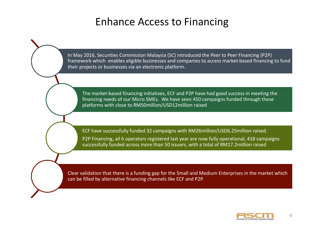### Enhance Access to Financing

In May 2016, Securities Commission Malaysia (SC) introduced the Peer to Peer Financing (P2P) framework which enables eligible businesses and companies to access market-based financing to fund their projects or businesses via an electronic platform.

The market-based financing initiatives, ECF and P2P have had good success in meeting the financing needs of our Micro SMEs. We have seen 450 campaigns funded through these platforms with close to RM50million/USD12million raised

ECF have successfully funded 32 campaigns with RM26million/USD6.25million raised. P2P Financing, all 6 operators registered last year are now fully operational, 418 campaigns successfully funded across more than 50 issuers, with a total of RM17.2million raised

Clear validation that there is a funding gap for the Small and Medium Enterprises in the market which can be filled by alternative financing channels like ECF and P2P.

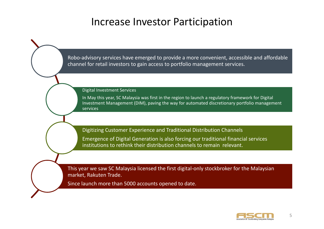### Increase Investor Participation

Robo-advisory services have emerged to provide a more convenient, accessible and affordable channel for retail investors to gain access to portfolio management services.

Digital Investment Services

In May this year, SC Malaysia was first in the region to launch a regulatory framework for Digital Investment Management (DIM), paving the way for automated discretionary portfolio management services

Digitizing Customer Experience and Traditional Distribution Channels Emergence of Digital Generation is also forcing our traditional financial services institutions to rethink their distribution channels to remain relevant.

This year we saw SC Malaysia licensed the first digital-only stockbroker for the Malaysian market, Rakuten Trade.

Since launch more than 5000 accounts opened to date.

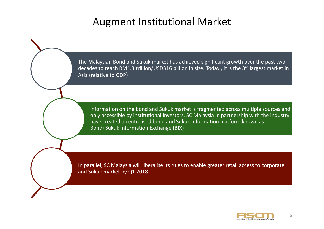### Augment Institutional Market

The Malaysian Bond and Sukuk market has achieved significant growth over the past two decades to reach RM1.3 trillion/USD316 billion in size. Today, it is the 3<sup>rd</sup> largest market in Asia (relative to GDP)

Information on the bond and Sukuk market is fragmented across multiple sources and only accessible by institutional investors. SC Malaysia in partnership with the industry have created a centralised bond and Sukuk information platform known as Bond+Sukuk Information Exchange (BIX)

In parallel, SC Malaysia will liberalise its rules to enable greater retail access to corporate and Sukuk market by Q1 2018.

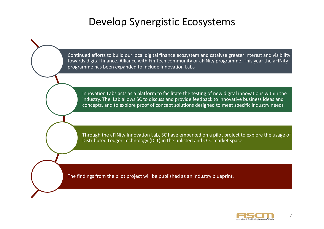### Develop Synergistic Ecosystems

Continued efforts to build our local digital finance ecosystem and catalyse greater interest and visibility towards digital finance. Alliance with Fin Tech community or aFINity programme. This year the aFINity programme has been expanded to include Innovation Labs

Innovation Labs acts as a platform to facilitate the testing of new digital innovations within the industry. The Lab allows SC to discuss and provide feedback to innovative business ideas and concepts, and to explore proof of concept solutions designed to meet specific industry needs

Through the aFINity Innovation Lab, SC have embarked on a pilot project to explore the usage of Distributed Ledger Technology (DLT) in the unlisted and OTC market space.

The findings from the pilot project will be published as an industry blueprint.

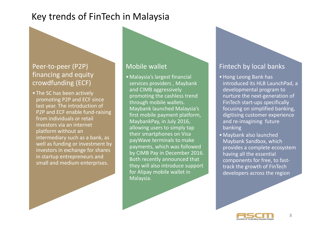### Key trends of FinTech in Malaysia

#### Peer-to-peer (P2P) financing and equity crowdfunding (ECF)

• The SC has been actively promoting P2P and ECF since last year. The introduction of P2P and ECF enable fund-raising from individuals or retail investors via an internet platform without an intermediary such as a bank, as well as funding or investment by investors in exchange for shares in startup entrepreneurs and small and medium enterprises.

#### Mobile wallet

• Malaysia's largest financial services providers, Maybank and CIMB aggressively promoting the cashless trend through mobile wallets. Maybank launched Malaysia's first mobile payment platform, MaybankPay, in July 2016, allowing users to simply tap their smartphones on Visa payWave terminals to make payments, which was followed by CIMB Pay in December 2016. Both recently announced that they will also introduce support for Alipay mobile wallet in Malaysia.

#### Fintech by local banks

- Hong Leong Bank has introduced its HLB LaunchPad, a developmental program to nurture the next-generation of FinTech start-ups specifically focusing on simplified banking, digitising customer experience and re-imagining future banking
- Maybank also launched Maybank Sandbox, which provides a complete ecosystem having all the essential components for free, to fasttrack the growth of FinTech developers across the region

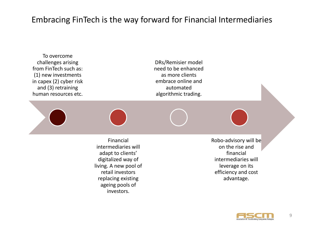### Embracing FinTech is the way forward for Financial Intermediaries